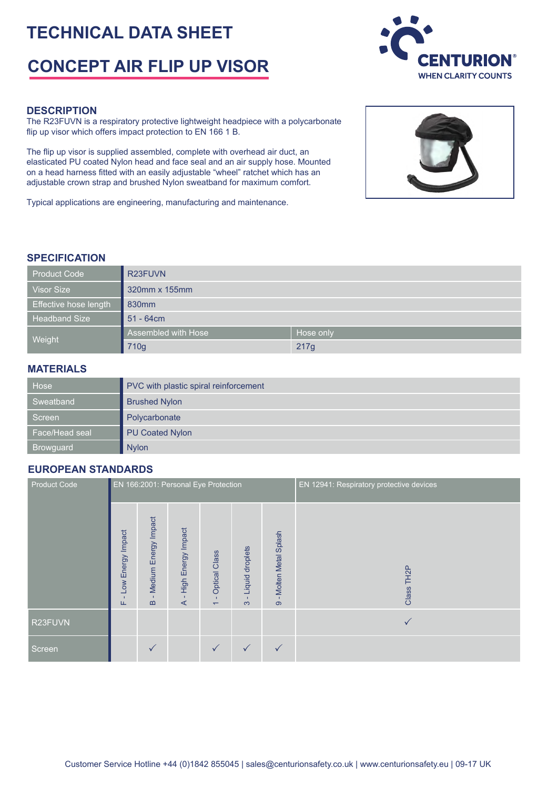# **TECHNICAL DATA SHEET**

# **CONCEPT AIR FLIP UP VISOR**



The R23FUVN is a respiratory protective lightweight headpiece with a polycarbonate flip up visor which offers impact protection to EN 166 1 B.

The flip up visor is supplied assembled, complete with overhead air duct, an elasticated PU coated Nylon head and face seal and an air supply hose. Mounted on a head harness fitted with an easily adjustable "wheel" ratchet which has an adjustable crown strap and brushed Nylon sweatband for maximum comfort.

Typical applications are engineering, manufacturing and maintenance.





#### **SPECIFICATION**

| <b>Product Code</b>   | R <sub>23</sub> FUVN |           |  |  |  |
|-----------------------|----------------------|-----------|--|--|--|
| <b>Visor Size</b>     | 320mm x 155mm        |           |  |  |  |
| Effective hose length | 830 <sub>mm</sub>    |           |  |  |  |
| <b>Headband Size</b>  | $51 - 64$ cm         |           |  |  |  |
| Weight                | Assembled with Hose  | Hose only |  |  |  |
|                       | 710g                 | 217g      |  |  |  |

#### **MATERIALS**

| Hose             | PVC with plastic spiral reinforcement |  |  |  |  |
|------------------|---------------------------------------|--|--|--|--|
| Sweatband        | <b>Brushed Nylon</b>                  |  |  |  |  |
| Screen           | Polycarbonate                         |  |  |  |  |
| Face/Head seal   | <b>PU Coated Nylon</b>                |  |  |  |  |
| <b>Browguard</b> | <b>Nylon</b>                          |  |  |  |  |

### **EUROPEAN STANDARDS**

| <b>Product Code</b> | EN 166:2001: Personal Eye Protection |                                     |                               |                                                                  |                             |                                                 | EN 12941: Respiratory protective devices |
|---------------------|--------------------------------------|-------------------------------------|-------------------------------|------------------------------------------------------------------|-----------------------------|-------------------------------------------------|------------------------------------------|
|                     | Low Energy Impact<br>Щ               | Medium Energy Impact<br>$\mathbf m$ | High Energy Impact<br>$\prec$ | <b>Optical Class</b><br>$\mathbf{L}$<br>$\overline{\phantom{0}}$ | Liquid droplets<br>$\infty$ | Molten Metal Splash<br>$\mathbf{L}$<br>$\infty$ | TH <sub>2</sub> P<br>Class               |
| R23FUVN             |                                      |                                     |                               |                                                                  |                             |                                                 | $\checkmark$                             |
| Screen              |                                      | $\checkmark$                        |                               | ✓                                                                |                             | $\checkmark$                                    |                                          |